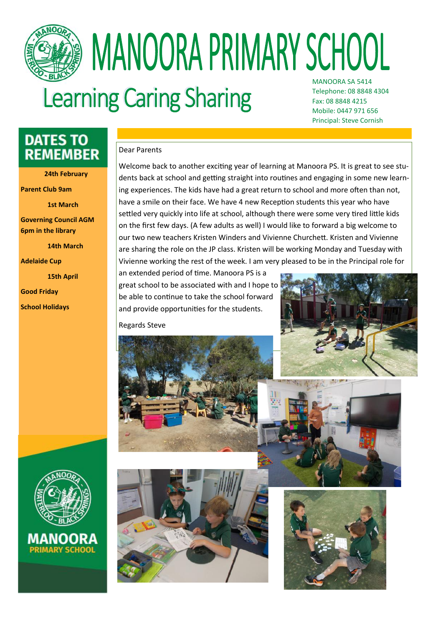

## **MANOORA PRIMARY SCHOOL** MANOORA SA 5414

### **Learning Caring Sharing**

Telephone: 08 8848 4304 Fax: 08 8848 4215 Mobile: 0447 971 656 Principal: Steve Cornish

### **DATES TO REMEMBER**

**24th February**

**Parent Club 9am** 

**1st March**

**Governing Council AGM 6pm in the library** 

**14th March**

**Adelaide Cup**

**15th April** 

**Good Friday**

**School Holidays**

#### Dear Parents

Welcome back to another exciting year of learning at Manoora PS. It is great to see students back at school and getting straight into routines and engaging in some new learning experiences. The kids have had a great return to school and more often than not, have a smile on their face. We have 4 new Reception students this year who have settled very quickly into life at school, although there were some very tired little kids on the first few days. (A few adults as well) I would like to forward a big welcome to our two new teachers Kristen Winders and Vivienne Churchett. Kristen and Vivienne are sharing the role on the JP class. Kristen will be working Monday and Tuesday with Vivienne working the rest of the week. I am very pleased to be in the Principal role for

an extended period of time. Manoora PS is a great school to be associated with and I hope to be able to continue to take the school forward and provide opportunities for the students.

Regards Steve









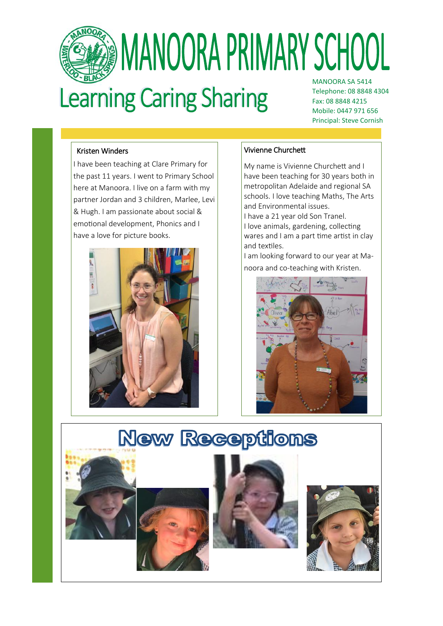

## **MANOORA PRIMARY SCHOOL** MANOORA SA 5414

## **Learning Caring Sharing**

Telephone: 08 8848 4304 Fax: 08 8848 4215 Mobile: 0447 971 656 Principal: Steve Cornish

### Kristen Winders

I have been teaching at Clare Primary for the past 11 years. I went to Primary School here at Manoora. I live on a farm with my partner Jordan and 3 children, Marlee, Levi & Hugh. I am passionate about social & emotional development, Phonics and I have a love for picture books.



### Vivienne Churchett

My name is Vivienne Churchett and I have been teaching for 30 years both in metropolitan Adelaide and regional SA schools. I love teaching Maths, The Arts and Environmental issues. I have a 21 year old Son Tranel. I love animals, gardening, collecting wares and I am a part time artist in clay and textiles.

I am looking forward to our year at Manoora and co-teaching with Kristen.



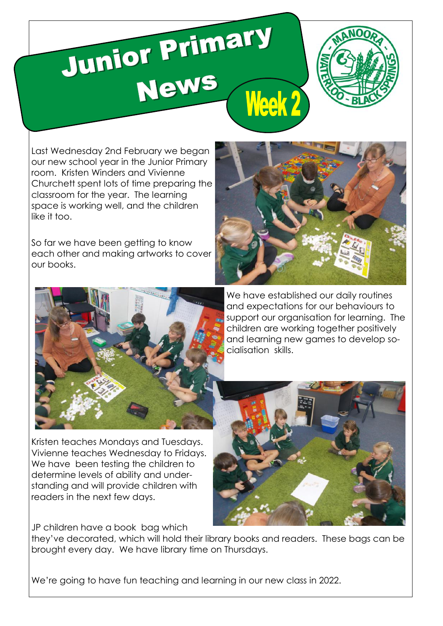# Junior Primary Week 2



Last Wednesday 2nd February we began our new school year in the Junior Primary room. Kristen Winders and Vivienne Churchett spent lots of time preparing the classroom for the year. The learning space is working well, and the children like it too.

So far we have been getting to know each other and making artworks to cover our books.





We have established our daily routines and expectations for our behaviours to support our organisation for learning. The children are working together positively and learning new games to develop socialisation skills.

Kristen teaches Mondays and Tuesdays. Vivienne teaches Wednesday to Fridays. We have been testing the children to determine levels of ability and understanding and will provide children with readers in the next few days.

JP children have a book bag which

they've decorated, which will hold their library books and readers. These bags can be brought every day. We have library time on Thursdays.

We're going to have fun teaching and learning in our new class in 2022.

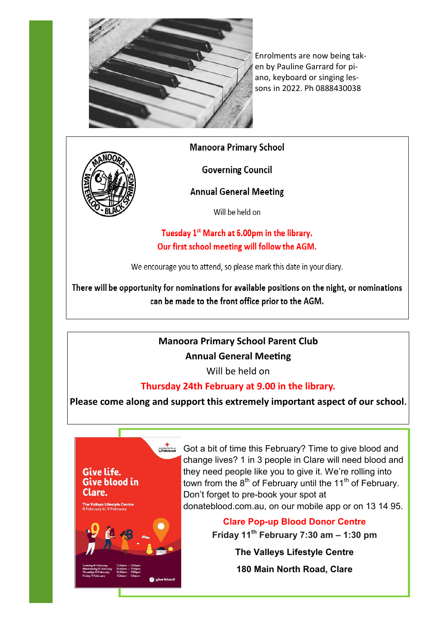

Enrolments are now being taken by Pauline Garrard for piano, keyboard or singing lessons in 2022. Ph 0888430038

**Manoora Primary School** 



Give life. **Give blood in** 

Clare.

**Governing Council** 

### **Annual General Meeting**

Will be held on

Tuesday 1<sup>st</sup> March at 6.00pm in the library. Our first school meeting will follow the AGM.

We encourage you to attend, so please mark this date in your diary.

There will be opportunity for nominations for available positions on the night, or nominations can be made to the front office prior to the AGM.

### **Manoora Primary School Parent Club**

### **Annual General Meeting**

Will be held on

### **Thursday 24th February at 9.00 in the library.**

**Please come along and support this extremely important aspect of our school.**

Got a bit of time this February? Time to give blood and change lives? 1 in 3 people in Clare will need blood and they need people like you to give it. We're rolling into town from the  $8<sup>th</sup>$  of February until the 11<sup>th</sup> of February. Don't forget to pre-book your spot at donateblood.com.au, on our mobile app or on 13 14 95. **Clare Pop-up Blood Donor Centre**

**Friday 11th February 7:30 am – 1:30 pm**

**The Valleys Lifestyle Centre**

**180 Main North Road, Clare**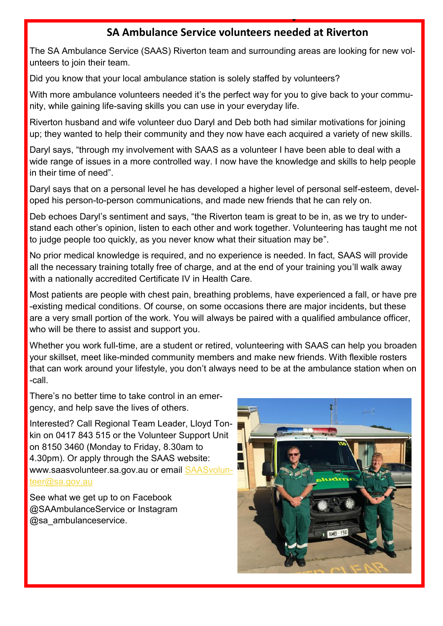### **SA Ambulance Service volunteers needed at Riverton**

The SA Ambulance Service (SAAS) Riverton team and surrounding areas are looking for new volunteers to join their team.

Did you know that your local ambulance station is solely staffed by volunteers?

With more ambulance volunteers needed it's the perfect way for you to give back to your community, while gaining life-saving skills you can use in your everyday life.

Riverton husband and wife volunteer duo Daryl and Deb both had similar motivations for joining up; they wanted to help their community and they now have each acquired a variety of new skills.

Daryl says, "through my involvement with SAAS as a volunteer I have been able to deal with a wide range of issues in a more controlled way. I now have the knowledge and skills to help people in their time of need".

Daryl says that on a personal level he has developed a higher level of personal self-esteem, developed his person-to-person communications, and made new friends that he can rely on.

Deb echoes Daryl's sentiment and says, "the Riverton team is great to be in, as we try to understand each other's opinion, listen to each other and work together. Volunteering has taught me not to judge people too quickly, as you never know what their situation may be".

No prior medical knowledge is required, and no experience is needed. In fact, SAAS will provide all the necessary training totally free of charge, and at the end of your training you'll walk away with a nationally accredited Certificate IV in Health Care.

Most patients are people with chest pain, breathing problems, have experienced a fall, or have pre -existing medical conditions. Of course, on some occasions there are major incidents, but these are a very small portion of the work. You will always be paired with a qualified ambulance officer, who will be there to assist and support you.

Whether you work full-time, are a student or retired, volunteering with SAAS can help you broaden your skillset, meet like-minded community members and make new friends. With flexible rosters that can work around your lifestyle, you don't always need to be at the ambulance station when on -call.

There's no better time to take control in an emergency, and help save the lives of others.

Interested? Call Regional Team Leader, Lloyd Tonkin on 0417 843 515 or the Volunteer Support Unit on [8150 3460 \(](tel:08%208150%203460)Monday to Friday, 8.30am to 4.30pm). Or apply through the SAAS website: www.saasvolunteer.sa.gov.au or email [SAASvolun](mailto:SAASvolunteer@sa.gov.au)[teer@sa.gov.au](mailto:SAASvolunteer@sa.gov.au)

See what we get up to on Facebook @SAAmbulanceService or Instagram @sa\_ambulanceservice.